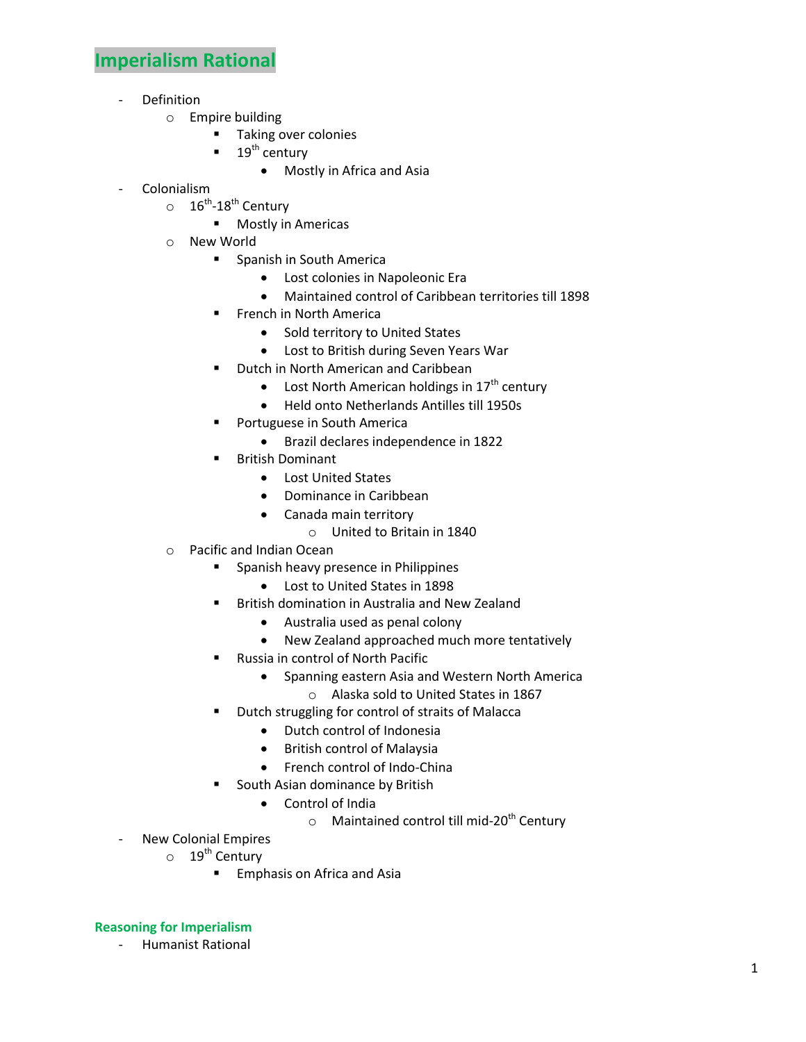## **Imperialism Rational**

- **Definition** 
	- o Empire building
		- **Taking over colonies**
		- $19<sup>th</sup>$  century
			- Mostly in Africa and Asia
- Colonialism
	- $\circ$  26<sup>th</sup>-18<sup>th</sup> Century
		- **Mostly in Americas**
	- o New World
		- **Spanish in South Americal** 
			- Lost colonies in Napoleonic Era
			- Maintained control of Caribbean territories till 1898
		- **FILM** French in North America
			- Sold territory to United States
			- Lost to British during Seven Years War
		- Dutch in North American and Caribbean
			- Lost North American holdings in  $17<sup>th</sup>$  century
			- Held onto Netherlands Antilles till 1950s
		- Portuguese in South America
			- Brazil declares independence in 1822
		- British Dominant
			- Lost United States
			- Dominance in Caribbean
			- Canada main territory
				- o United to Britain in 1840
	- o Pacific and Indian Ocean
		- **Spanish heavy presence in Philippines** 
			- Lost to United States in 1898
		- **British domination in Australia and New Zealand** 
			- Australia used as penal colony
			- New Zealand approached much more tentatively
		- Russia in control of North Pacific
			- Spanning eastern Asia and Western North America
			- o Alaska sold to United States in 1867
		- **•** Dutch struggling for control of straits of Malacca
			- Dutch control of Indonesia
			- **•** British control of Malaysia
			- French control of Indo-China
		- South Asian dominance by British
			- Control of India
				- $\circ$  Maintained control till mid-20<sup>th</sup> Century
- New Colonial Empires
	- o 19<sup>th</sup> Century
		- **Emphasis on Africa and Asia**

## **Reasoning for Imperialism**

- Humanist Rational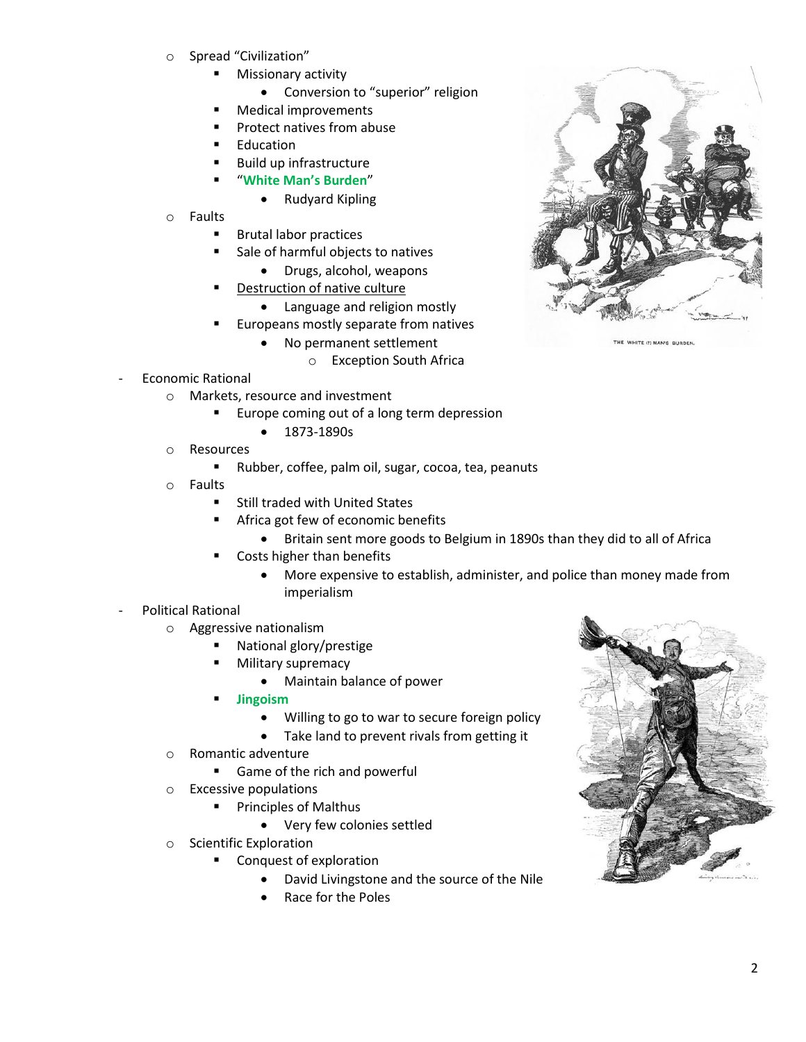- o Spread "Civilization"
	- Missionary activity
		- Conversion to "superior" religion
	- Medical improvements
	- **Protect natives from abuse**
	- **Education**
	- Build up infrastructure
	- "**White Man's Burden**"
		- Rudyard Kipling
- o Faults
	- Brutal labor practices
	- Sale of harmful objects to natives
		- Drugs, alcohol, weapons
	- Destruction of native culture
		- Language and religion mostly
	- Europeans mostly separate from natives
		- No permanent settlement
			- o Exception South Africa
- Economic Rational
	- o Markets, resource and investment
		- Europe coming out of a long term depression
			- $1873-1890s$
	- o Resources
		- Rubber, coffee, palm oil, sugar, cocoa, tea, peanuts
	- o Faults
		- **Still traded with United States**
		- **Africa got few of economic benefits** 
			- Britain sent more goods to Belgium in 1890s than they did to all of Africa
		- Costs higher than benefits
			- More expensive to establish, administer, and police than money made from imperialism
- Political Rational
	- o Aggressive nationalism
		- National glory/prestige
		- Military supremacy
			- Maintain balance of power
		- **Jingoism**
			- Willing to go to war to secure foreign policy
			- Take land to prevent rivals from getting it
	- o Romantic adventure
		- **Game of the rich and powerful**
	- o Excessive populations
		- **Principles of Malthus** 
			- Very few colonies settled
	- o Scientific Exploration
		- Conquest of exploration
			- David Livingstone and the source of the Nile
			- Race for the Poles



THE WHITE (!) MAN'S BURDEN.